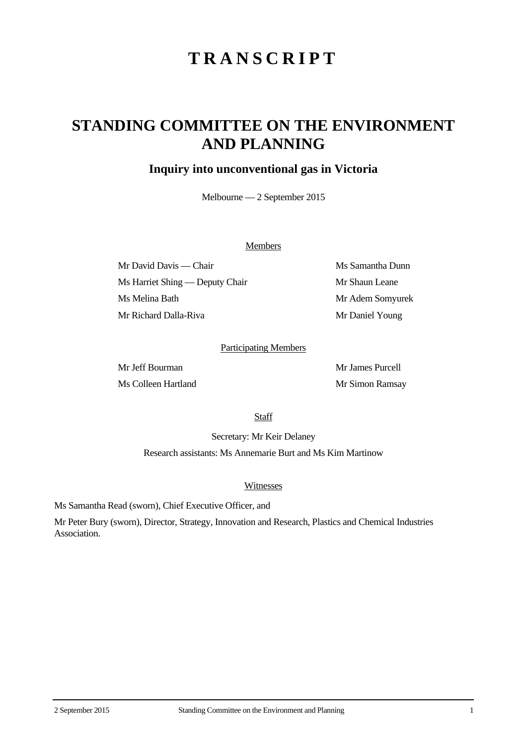# **TRANSCRIPT**

## **STANDING COMMITTEE ON THE ENVIRONMENT AND PLANNING**

### **Inquiry into unconventional gas in Victoria**

Melbourne — 2 September 2015

#### Members

Mr David Davis — Chair Ms Samantha Dunn Ms Harriet Shing — Deputy Chair Mr Shaun Leane Ms Melina Bath Mr Adem Somyurek Mr Richard Dalla-Riva Mr Daniel Young

#### Participating Members

Mr Jeff Bourman Mr James Purcell Ms Colleen Hartland Mr Simon Ramsay

**Staff** 

Secretary: Mr Keir Delaney

Research assistants: Ms Annemarie Burt and Ms Kim Martinow

#### Witnesses

Ms Samantha Read (sworn), Chief Executive Officer, and

Mr Peter Bury (sworn), Director, Strategy, Innovation and Research, Plastics and Chemical Industries Association.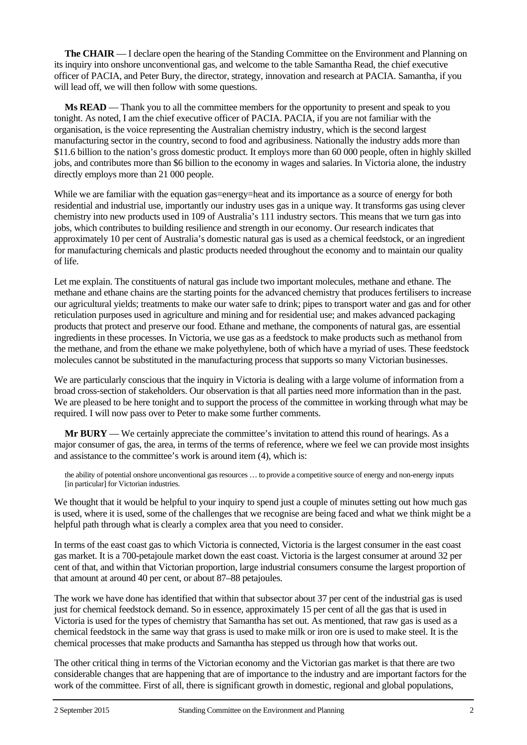**The CHAIR** — I declare open the hearing of the Standing Committee on the Environment and Planning on its inquiry into onshore unconventional gas, and welcome to the table Samantha Read, the chief executive officer of PACIA, and Peter Bury, the director, strategy, innovation and research at PACIA. Samantha, if you will lead off, we will then follow with some questions.

**Ms READ** — Thank you to all the committee members for the opportunity to present and speak to you tonight. As noted, I am the chief executive officer of PACIA. PACIA, if you are not familiar with the organisation, is the voice representing the Australian chemistry industry, which is the second largest manufacturing sector in the country, second to food and agribusiness. Nationally the industry adds more than \$11.6 billion to the nation's gross domestic product. It employs more than 60 000 people, often in highly skilled jobs, and contributes more than \$6 billion to the economy in wages and salaries. In Victoria alone, the industry directly employs more than 21 000 people.

While we are familiar with the equation gas=energy=heat and its importance as a source of energy for both residential and industrial use, importantly our industry uses gas in a unique way. It transforms gas using clever chemistry into new products used in 109 of Australia's 111 industry sectors. This means that we turn gas into jobs, which contributes to building resilience and strength in our economy. Our research indicates that approximately 10 per cent of Australia's domestic natural gas is used as a chemical feedstock, or an ingredient for manufacturing chemicals and plastic products needed throughout the economy and to maintain our quality of life.

Let me explain. The constituents of natural gas include two important molecules, methane and ethane. The methane and ethane chains are the starting points for the advanced chemistry that produces fertilisers to increase our agricultural yields; treatments to make our water safe to drink; pipes to transport water and gas and for other reticulation purposes used in agriculture and mining and for residential use; and makes advanced packaging products that protect and preserve our food. Ethane and methane, the components of natural gas, are essential ingredients in these processes. In Victoria, we use gas as a feedstock to make products such as methanol from the methane, and from the ethane we make polyethylene, both of which have a myriad of uses. These feedstock molecules cannot be substituted in the manufacturing process that supports so many Victorian businesses.

We are particularly conscious that the inquiry in Victoria is dealing with a large volume of information from a broad cross-section of stakeholders. Our observation is that all parties need more information than in the past. We are pleased to be here tonight and to support the process of the committee in working through what may be required. I will now pass over to Peter to make some further comments.

**Mr BURY** — We certainly appreciate the committee's invitation to attend this round of hearings. As a major consumer of gas, the area, in terms of the terms of reference, where we feel we can provide most insights and assistance to the committee's work is around item (4), which is:

the ability of potential onshore unconventional gas resources … to provide a competitive source of energy and non-energy inputs [in particular] for Victorian industries.

We thought that it would be helpful to your inquiry to spend just a couple of minutes setting out how much gas is used, where it is used, some of the challenges that we recognise are being faced and what we think might be a helpful path through what is clearly a complex area that you need to consider.

In terms of the east coast gas to which Victoria is connected, Victoria is the largest consumer in the east coast gas market. It is a 700-petajoule market down the east coast. Victoria is the largest consumer at around 32 per cent of that, and within that Victorian proportion, large industrial consumers consume the largest proportion of that amount at around 40 per cent, or about 87–88 petajoules.

The work we have done has identified that within that subsector about 37 per cent of the industrial gas is used just for chemical feedstock demand. So in essence, approximately 15 per cent of all the gas that is used in Victoria is used for the types of chemistry that Samantha has set out. As mentioned, that raw gas is used as a chemical feedstock in the same way that grass is used to make milk or iron ore is used to make steel. It is the chemical processes that make products and Samantha has stepped us through how that works out.

The other critical thing in terms of the Victorian economy and the Victorian gas market is that there are two considerable changes that are happening that are of importance to the industry and are important factors for the work of the committee. First of all, there is significant growth in domestic, regional and global populations,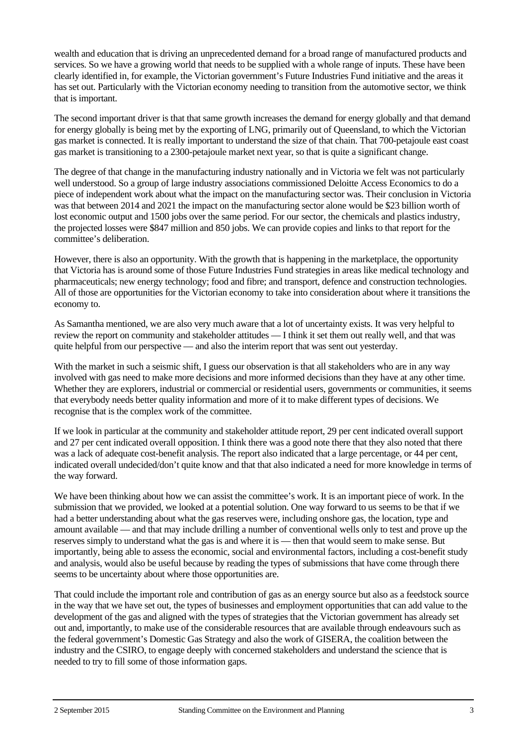wealth and education that is driving an unprecedented demand for a broad range of manufactured products and services. So we have a growing world that needs to be supplied with a whole range of inputs. These have been clearly identified in, for example, the Victorian government's Future Industries Fund initiative and the areas it has set out. Particularly with the Victorian economy needing to transition from the automotive sector, we think that is important.

The second important driver is that that same growth increases the demand for energy globally and that demand for energy globally is being met by the exporting of LNG, primarily out of Queensland, to which the Victorian gas market is connected. It is really important to understand the size of that chain. That 700-petajoule east coast gas market is transitioning to a 2300-petajoule market next year, so that is quite a significant change.

The degree of that change in the manufacturing industry nationally and in Victoria we felt was not particularly well understood. So a group of large industry associations commissioned Deloitte Access Economics to do a piece of independent work about what the impact on the manufacturing sector was. Their conclusion in Victoria was that between 2014 and 2021 the impact on the manufacturing sector alone would be \$23 billion worth of lost economic output and 1500 jobs over the same period. For our sector, the chemicals and plastics industry, the projected losses were \$847 million and 850 jobs. We can provide copies and links to that report for the committee's deliberation.

However, there is also an opportunity. With the growth that is happening in the marketplace, the opportunity that Victoria has is around some of those Future Industries Fund strategies in areas like medical technology and pharmaceuticals; new energy technology; food and fibre; and transport, defence and construction technologies. All of those are opportunities for the Victorian economy to take into consideration about where it transitions the economy to.

As Samantha mentioned, we are also very much aware that a lot of uncertainty exists. It was very helpful to review the report on community and stakeholder attitudes — I think it set them out really well, and that was quite helpful from our perspective — and also the interim report that was sent out yesterday.

With the market in such a seismic shift, I guess our observation is that all stakeholders who are in any way involved with gas need to make more decisions and more informed decisions than they have at any other time. Whether they are explorers, industrial or commercial or residential users, governments or communities, it seems that everybody needs better quality information and more of it to make different types of decisions. We recognise that is the complex work of the committee.

If we look in particular at the community and stakeholder attitude report, 29 per cent indicated overall support and 27 per cent indicated overall opposition. I think there was a good note there that they also noted that there was a lack of adequate cost-benefit analysis. The report also indicated that a large percentage, or 44 per cent, indicated overall undecided/don't quite know and that that also indicated a need for more knowledge in terms of the way forward.

We have been thinking about how we can assist the committee's work. It is an important piece of work. In the submission that we provided, we looked at a potential solution. One way forward to us seems to be that if we had a better understanding about what the gas reserves were, including onshore gas, the location, type and amount available — and that may include drilling a number of conventional wells only to test and prove up the reserves simply to understand what the gas is and where it is — then that would seem to make sense. But importantly, being able to assess the economic, social and environmental factors, including a cost-benefit study and analysis, would also be useful because by reading the types of submissions that have come through there seems to be uncertainty about where those opportunities are.

That could include the important role and contribution of gas as an energy source but also as a feedstock source in the way that we have set out, the types of businesses and employment opportunities that can add value to the development of the gas and aligned with the types of strategies that the Victorian government has already set out and, importantly, to make use of the considerable resources that are available through endeavours such as the federal government's Domestic Gas Strategy and also the work of GISERA, the coalition between the industry and the CSIRO, to engage deeply with concerned stakeholders and understand the science that is needed to try to fill some of those information gaps.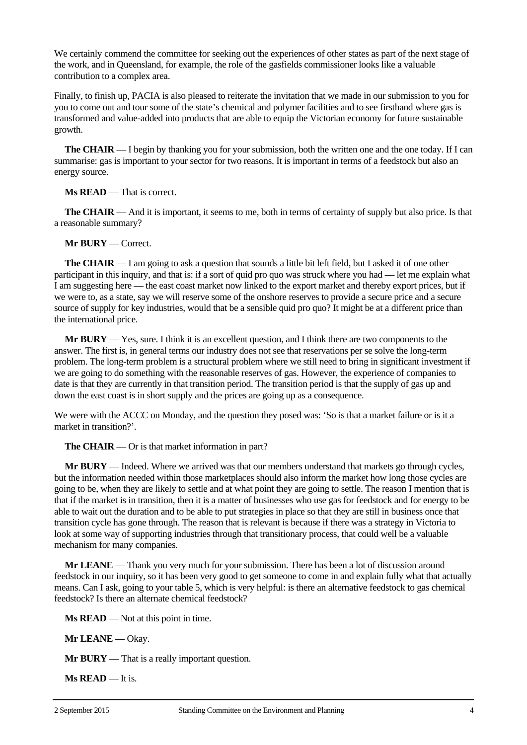We certainly commend the committee for seeking out the experiences of other states as part of the next stage of the work, and in Queensland, for example, the role of the gasfields commissioner looks like a valuable contribution to a complex area.

Finally, to finish up, PACIA is also pleased to reiterate the invitation that we made in our submission to you for you to come out and tour some of the state's chemical and polymer facilities and to see firsthand where gas is transformed and value-added into products that are able to equip the Victorian economy for future sustainable growth.

**The CHAIR** — I begin by thanking you for your submission, both the written one and the one today. If I can summarise: gas is important to your sector for two reasons. It is important in terms of a feedstock but also an energy source.

**Ms READ** — That is correct.

**The CHAIR** — And it is important, it seems to me, both in terms of certainty of supply but also price. Is that a reasonable summary?

**Mr BURY** — Correct.

**The CHAIR** — I am going to ask a question that sounds a little bit left field, but I asked it of one other participant in this inquiry, and that is: if a sort of quid pro quo was struck where you had — let me explain what I am suggesting here — the east coast market now linked to the export market and thereby export prices, but if we were to, as a state, say we will reserve some of the onshore reserves to provide a secure price and a secure source of supply for key industries, would that be a sensible quid pro quo? It might be at a different price than the international price.

**Mr BURY** — Yes, sure. I think it is an excellent question, and I think there are two components to the answer. The first is, in general terms our industry does not see that reservations per se solve the long-term problem. The long-term problem is a structural problem where we still need to bring in significant investment if we are going to do something with the reasonable reserves of gas. However, the experience of companies to date is that they are currently in that transition period. The transition period is that the supply of gas up and down the east coast is in short supply and the prices are going up as a consequence.

We were with the ACCC on Monday, and the question they posed was: 'So is that a market failure or is it a market in transition?'.

**The CHAIR** — Or is that market information in part?

**Mr BURY** — Indeed. Where we arrived was that our members understand that markets go through cycles, but the information needed within those marketplaces should also inform the market how long those cycles are going to be, when they are likely to settle and at what point they are going to settle. The reason I mention that is that if the market is in transition, then it is a matter of businesses who use gas for feedstock and for energy to be able to wait out the duration and to be able to put strategies in place so that they are still in business once that transition cycle has gone through. The reason that is relevant is because if there was a strategy in Victoria to look at some way of supporting industries through that transitionary process, that could well be a valuable mechanism for many companies.

**Mr LEANE** — Thank you very much for your submission. There has been a lot of discussion around feedstock in our inquiry, so it has been very good to get someone to come in and explain fully what that actually means. Can I ask, going to your table 5, which is very helpful: is there an alternative feedstock to gas chemical feedstock? Is there an alternate chemical feedstock?

**Ms READ** — Not at this point in time.

**Mr LEANE** — Okay.

**Mr BURY** — That is a really important question.

**Ms READ** — It is.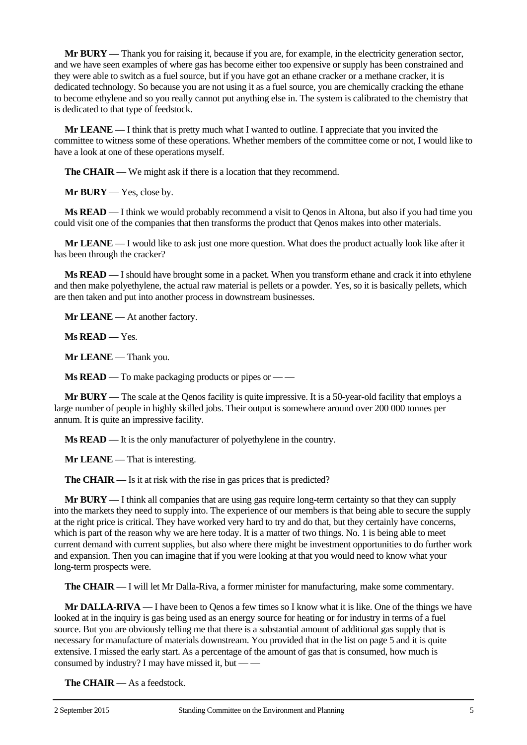**Mr BURY** — Thank you for raising it, because if you are, for example, in the electricity generation sector, and we have seen examples of where gas has become either too expensive or supply has been constrained and they were able to switch as a fuel source, but if you have got an ethane cracker or a methane cracker, it is dedicated technology. So because you are not using it as a fuel source, you are chemically cracking the ethane to become ethylene and so you really cannot put anything else in. The system is calibrated to the chemistry that is dedicated to that type of feedstock.

**Mr LEANE** — I think that is pretty much what I wanted to outline. I appreciate that you invited the committee to witness some of these operations. Whether members of the committee come or not, I would like to have a look at one of these operations myself.

**The CHAIR** — We might ask if there is a location that they recommend.

**Mr BURY** — Yes, close by.

**Ms READ** — I think we would probably recommend a visit to Qenos in Altona, but also if you had time you could visit one of the companies that then transforms the product that Qenos makes into other materials.

**Mr LEANE** — I would like to ask just one more question. What does the product actually look like after it has been through the cracker?

**Ms READ** — I should have brought some in a packet. When you transform ethane and crack it into ethylene and then make polyethylene, the actual raw material is pellets or a powder. Yes, so it is basically pellets, which are then taken and put into another process in downstream businesses.

**Mr LEANE** — At another factory.

**Ms READ** — Yes.

**Mr LEANE** — Thank you.

**Ms READ** — To make packaging products or pipes or — —

**Mr <b>BURY** — The scale at the Qenos facility is quite impressive. It is a 50-year-old facility that employs a large number of people in highly skilled jobs. Their output is somewhere around over 200 000 tonnes per annum. It is quite an impressive facility.

**Ms READ** — It is the only manufacturer of polyethylene in the country.

**Mr LEANE** — That is interesting.

**The CHAIR** — Is it at risk with the rise in gas prices that is predicted?

**Mr BURY** — I think all companies that are using gas require long-term certainty so that they can supply into the markets they need to supply into. The experience of our members is that being able to secure the supply at the right price is critical. They have worked very hard to try and do that, but they certainly have concerns, which is part of the reason why we are here today. It is a matter of two things. No. 1 is being able to meet current demand with current supplies, but also where there might be investment opportunities to do further work and expansion. Then you can imagine that if you were looking at that you would need to know what your long-term prospects were.

**The CHAIR** — I will let Mr Dalla-Riva, a former minister for manufacturing, make some commentary.

**Mr DALLA-RIVA** — I have been to Qenos a few times so I know what it is like. One of the things we have looked at in the inquiry is gas being used as an energy source for heating or for industry in terms of a fuel source. But you are obviously telling me that there is a substantial amount of additional gas supply that is necessary for manufacture of materials downstream. You provided that in the list on page 5 and it is quite extensive. I missed the early start. As a percentage of the amount of gas that is consumed, how much is consumed by industry? I may have missed it, but  $-\frac{1}{x}$ 

**The CHAIR** — As a feedstock.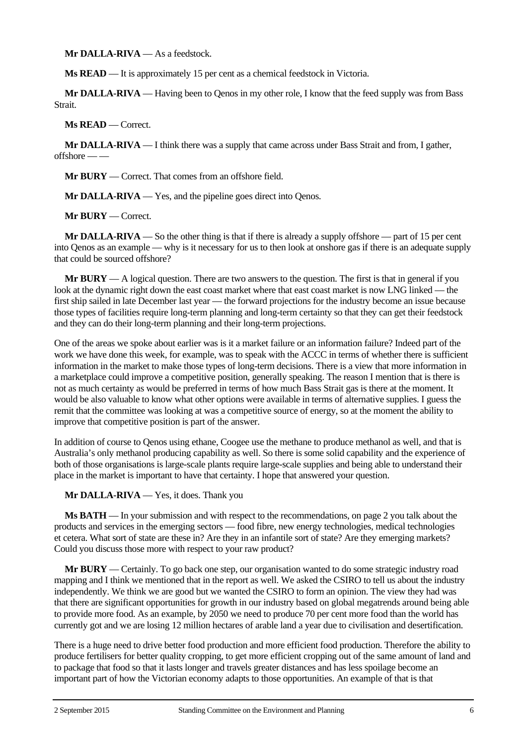**Mr DALLA-RIVA** — As a feedstock.

**Ms READ** — It is approximately 15 per cent as a chemical feedstock in Victoria.

**Mr DALLA-RIVA** — Having been to Qenos in my other role, I know that the feed supply was from Bass **Strait** 

**Ms READ** — Correct.

**Mr DALLA-RIVA** — I think there was a supply that came across under Bass Strait and from, I gather, offshore — —

**Mr BURY** — Correct. That comes from an offshore field.

**Mr DALLA-RIVA** — Yes, and the pipeline goes direct into Qenos.

**Mr BURY** — Correct.

**Mr DALLA-RIVA** — So the other thing is that if there is already a supply offshore — part of 15 per cent into Qenos as an example — why is it necessary for us to then look at onshore gas if there is an adequate supply that could be sourced offshore?

**Mr BURY** — A logical question. There are two answers to the question. The first is that in general if you look at the dynamic right down the east coast market where that east coast market is now LNG linked — the first ship sailed in late December last year — the forward projections for the industry become an issue because those types of facilities require long-term planning and long-term certainty so that they can get their feedstock and they can do their long-term planning and their long-term projections.

One of the areas we spoke about earlier was is it a market failure or an information failure? Indeed part of the work we have done this week, for example, was to speak with the ACCC in terms of whether there is sufficient information in the market to make those types of long-term decisions. There is a view that more information in a marketplace could improve a competitive position, generally speaking. The reason I mention that is there is not as much certainty as would be preferred in terms of how much Bass Strait gas is there at the moment. It would be also valuable to know what other options were available in terms of alternative supplies. I guess the remit that the committee was looking at was a competitive source of energy, so at the moment the ability to improve that competitive position is part of the answer.

In addition of course to Qenos using ethane, Coogee use the methane to produce methanol as well, and that is Australia's only methanol producing capability as well. So there is some solid capability and the experience of both of those organisations is large-scale plants require large-scale supplies and being able to understand their place in the market is important to have that certainty. I hope that answered your question.

**Mr DALLA-RIVA** — Yes, it does. Thank you

**Ms BATH** — In your submission and with respect to the recommendations, on page 2 you talk about the products and services in the emerging sectors — food fibre, new energy technologies, medical technologies et cetera. What sort of state are these in? Are they in an infantile sort of state? Are they emerging markets? Could you discuss those more with respect to your raw product?

**Mr BURY** — Certainly. To go back one step, our organisation wanted to do some strategic industry road mapping and I think we mentioned that in the report as well. We asked the CSIRO to tell us about the industry independently. We think we are good but we wanted the CSIRO to form an opinion. The view they had was that there are significant opportunities for growth in our industry based on global megatrends around being able to provide more food. As an example, by 2050 we need to produce 70 per cent more food than the world has currently got and we are losing 12 million hectares of arable land a year due to civilisation and desertification.

There is a huge need to drive better food production and more efficient food production. Therefore the ability to produce fertilisers for better quality cropping, to get more efficient cropping out of the same amount of land and to package that food so that it lasts longer and travels greater distances and has less spoilage become an important part of how the Victorian economy adapts to those opportunities. An example of that is that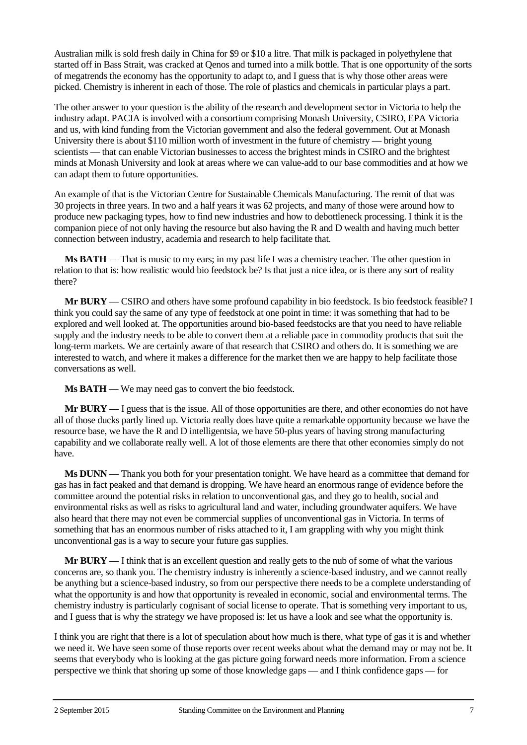Australian milk is sold fresh daily in China for \$9 or \$10 a litre. That milk is packaged in polyethylene that started off in Bass Strait, was cracked at Qenos and turned into a milk bottle. That is one opportunity of the sorts of megatrends the economy has the opportunity to adapt to, and I guess that is why those other areas were picked. Chemistry is inherent in each of those. The role of plastics and chemicals in particular plays a part.

The other answer to your question is the ability of the research and development sector in Victoria to help the industry adapt. PACIA is involved with a consortium comprising Monash University, CSIRO, EPA Victoria and us, with kind funding from the Victorian government and also the federal government. Out at Monash University there is about \$110 million worth of investment in the future of chemistry — bright young scientists — that can enable Victorian businesses to access the brightest minds in CSIRO and the brightest minds at Monash University and look at areas where we can value-add to our base commodities and at how we can adapt them to future opportunities.

An example of that is the Victorian Centre for Sustainable Chemicals Manufacturing. The remit of that was 30 projects in three years. In two and a half years it was 62 projects, and many of those were around how to produce new packaging types, how to find new industries and how to debottleneck processing. I think it is the companion piece of not only having the resource but also having the R and D wealth and having much better connection between industry, academia and research to help facilitate that.

**Ms BATH** — That is music to my ears; in my past life I was a chemistry teacher. The other question in relation to that is: how realistic would bio feedstock be? Is that just a nice idea, or is there any sort of reality there?

**Mr BURY** — CSIRO and others have some profound capability in bio feedstock. Is bio feedstock feasible? I think you could say the same of any type of feedstock at one point in time: it was something that had to be explored and well looked at. The opportunities around bio-based feedstocks are that you need to have reliable supply and the industry needs to be able to convert them at a reliable pace in commodity products that suit the long-term markets. We are certainly aware of that research that CSIRO and others do. It is something we are interested to watch, and where it makes a difference for the market then we are happy to help facilitate those conversations as well.

**Ms BATH** — We may need gas to convert the bio feedstock.

**Mr BURY** — I guess that is the issue. All of those opportunities are there, and other economies do not have all of those ducks partly lined up. Victoria really does have quite a remarkable opportunity because we have the resource base, we have the R and D intelligentsia, we have 50-plus years of having strong manufacturing capability and we collaborate really well. A lot of those elements are there that other economies simply do not have.

**Ms DUNN** — Thank you both for your presentation tonight. We have heard as a committee that demand for gas has in fact peaked and that demand is dropping. We have heard an enormous range of evidence before the committee around the potential risks in relation to unconventional gas, and they go to health, social and environmental risks as well as risks to agricultural land and water, including groundwater aquifers. We have also heard that there may not even be commercial supplies of unconventional gas in Victoria. In terms of something that has an enormous number of risks attached to it, I am grappling with why you might think unconventional gas is a way to secure your future gas supplies.

**Mr BURY** — I think that is an excellent question and really gets to the nub of some of what the various concerns are, so thank you. The chemistry industry is inherently a science-based industry, and we cannot really be anything but a science-based industry, so from our perspective there needs to be a complete understanding of what the opportunity is and how that opportunity is revealed in economic, social and environmental terms. The chemistry industry is particularly cognisant of social license to operate. That is something very important to us, and I guess that is why the strategy we have proposed is: let us have a look and see what the opportunity is.

I think you are right that there is a lot of speculation about how much is there, what type of gas it is and whether we need it. We have seen some of those reports over recent weeks about what the demand may or may not be. It seems that everybody who is looking at the gas picture going forward needs more information. From a science perspective we think that shoring up some of those knowledge gaps — and I think confidence gaps — for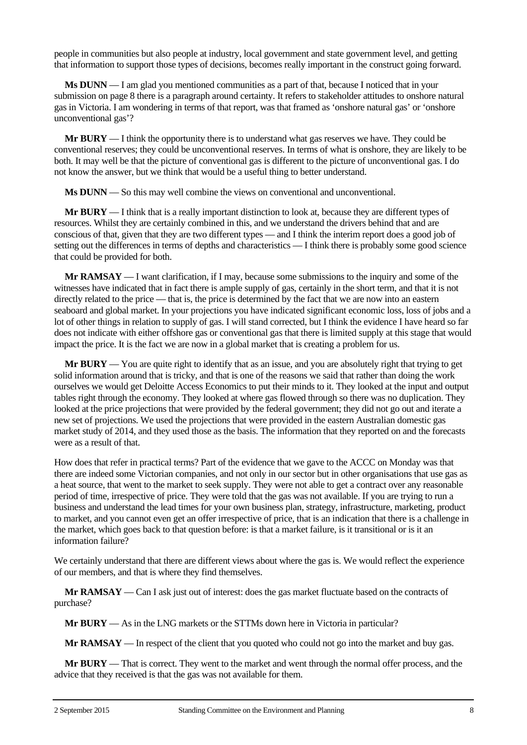people in communities but also people at industry, local government and state government level, and getting that information to support those types of decisions, becomes really important in the construct going forward.

**Ms DUNN** — I am glad you mentioned communities as a part of that, because I noticed that in your submission on page 8 there is a paragraph around certainty. It refers to stakeholder attitudes to onshore natural gas in Victoria. I am wondering in terms of that report, was that framed as 'onshore natural gas' or 'onshore unconventional gas'?

**Mr BURY** — I think the opportunity there is to understand what gas reserves we have. They could be conventional reserves; they could be unconventional reserves. In terms of what is onshore, they are likely to be both. It may well be that the picture of conventional gas is different to the picture of unconventional gas. I do not know the answer, but we think that would be a useful thing to better understand.

**Ms DUNN** — So this may well combine the views on conventional and unconventional.

**Mr BURY** — I think that is a really important distinction to look at, because they are different types of resources. Whilst they are certainly combined in this, and we understand the drivers behind that and are conscious of that, given that they are two different types — and I think the interim report does a good job of setting out the differences in terms of depths and characteristics — I think there is probably some good science that could be provided for both.

**Mr RAMSAY** — I want clarification, if I may, because some submissions to the inquiry and some of the witnesses have indicated that in fact there is ample supply of gas, certainly in the short term, and that it is not directly related to the price — that is, the price is determined by the fact that we are now into an eastern seaboard and global market. In your projections you have indicated significant economic loss, loss of jobs and a lot of other things in relation to supply of gas. I will stand corrected, but I think the evidence I have heard so far does not indicate with either offshore gas or conventional gas that there is limited supply at this stage that would impact the price. It is the fact we are now in a global market that is creating a problem for us.

**Mr BURY** — You are quite right to identify that as an issue, and you are absolutely right that trying to get solid information around that is tricky, and that is one of the reasons we said that rather than doing the work ourselves we would get Deloitte Access Economics to put their minds to it. They looked at the input and output tables right through the economy. They looked at where gas flowed through so there was no duplication. They looked at the price projections that were provided by the federal government; they did not go out and iterate a new set of projections. We used the projections that were provided in the eastern Australian domestic gas market study of 2014, and they used those as the basis. The information that they reported on and the forecasts were as a result of that.

How does that refer in practical terms? Part of the evidence that we gave to the ACCC on Monday was that there are indeed some Victorian companies, and not only in our sector but in other organisations that use gas as a heat source, that went to the market to seek supply. They were not able to get a contract over any reasonable period of time, irrespective of price. They were told that the gas was not available. If you are trying to run a business and understand the lead times for your own business plan, strategy, infrastructure, marketing, product to market, and you cannot even get an offer irrespective of price, that is an indication that there is a challenge in the market, which goes back to that question before: is that a market failure, is it transitional or is it an information failure?

We certainly understand that there are different views about where the gas is. We would reflect the experience of our members, and that is where they find themselves.

**Mr RAMSAY** — Can I ask just out of interest: does the gas market fluctuate based on the contracts of purchase?

**Mr BURY** — As in the LNG markets or the STTMs down here in Victoria in particular?

**Mr RAMSAY** — In respect of the client that you quoted who could not go into the market and buy gas.

**Mr BURY** — That is correct. They went to the market and went through the normal offer process, and the advice that they received is that the gas was not available for them.